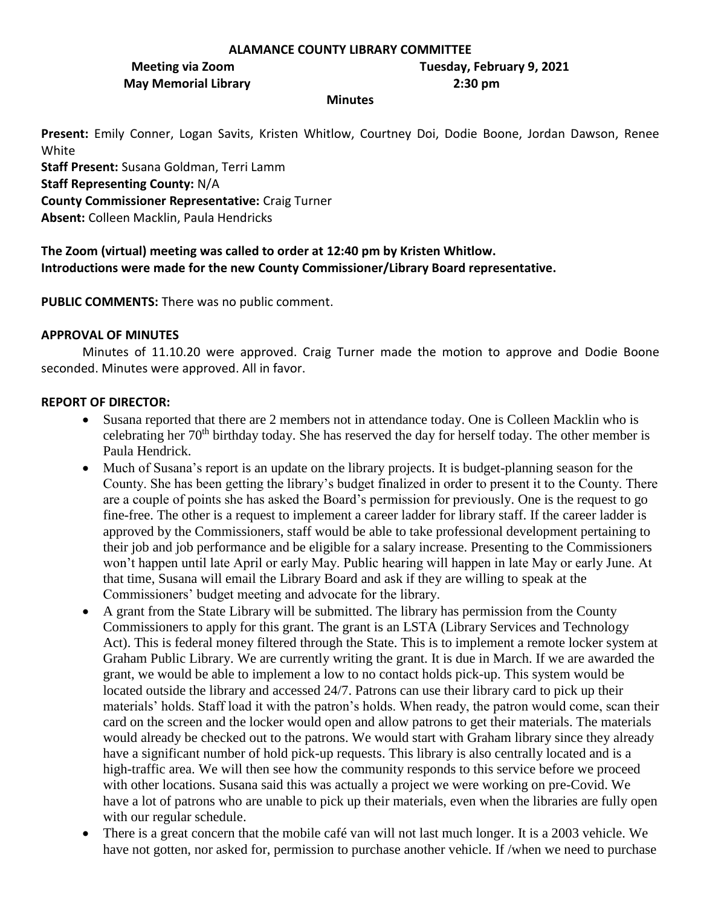#### **ALAMANCE COUNTY LIBRARY COMMITTEE**

**May Memorial Library 2:30 pm**

**Meeting via Zoom Tuesday, February 9, 2021**

#### **Minutes**

**Present:** Emily Conner, Logan Savits, Kristen Whitlow, Courtney Doi, Dodie Boone, Jordan Dawson, Renee White

**Staff Present:** Susana Goldman, Terri Lamm **Staff Representing County:** N/A **County Commissioner Representative:** Craig Turner

**Absent:** Colleen Macklin, Paula Hendricks

**The Zoom (virtual) meeting was called to order at 12:40 pm by Kristen Whitlow. Introductions were made for the new County Commissioner/Library Board representative.** 

**PUBLIC COMMENTS:** There was no public comment.

## **APPROVAL OF MINUTES**

Minutes of 11.10.20 were approved. Craig Turner made the motion to approve and Dodie Boone seconded. Minutes were approved. All in favor.

## **REPORT OF DIRECTOR:**

- Susana reported that there are 2 members not in attendance today. One is Colleen Macklin who is celebrating her 70<sup>th</sup> birthday today. She has reserved the day for herself today. The other member is Paula Hendrick.
- Much of Susana's report is an update on the library projects. It is budget-planning season for the County. She has been getting the library's budget finalized in order to present it to the County. There are a couple of points she has asked the Board's permission for previously. One is the request to go fine-free. The other is a request to implement a career ladder for library staff. If the career ladder is approved by the Commissioners, staff would be able to take professional development pertaining to their job and job performance and be eligible for a salary increase. Presenting to the Commissioners won't happen until late April or early May. Public hearing will happen in late May or early June. At that time, Susana will email the Library Board and ask if they are willing to speak at the Commissioners' budget meeting and advocate for the library.
- A grant from the State Library will be submitted. The library has permission from the County Commissioners to apply for this grant. The grant is an LSTA (Library Services and Technology Act). This is federal money filtered through the State. This is to implement a remote locker system at Graham Public Library. We are currently writing the grant. It is due in March. If we are awarded the grant, we would be able to implement a low to no contact holds pick-up. This system would be located outside the library and accessed 24/7. Patrons can use their library card to pick up their materials' holds. Staff load it with the patron's holds. When ready, the patron would come, scan their card on the screen and the locker would open and allow patrons to get their materials. The materials would already be checked out to the patrons. We would start with Graham library since they already have a significant number of hold pick-up requests. This library is also centrally located and is a high-traffic area. We will then see how the community responds to this service before we proceed with other locations. Susana said this was actually a project we were working on pre-Covid. We have a lot of patrons who are unable to pick up their materials, even when the libraries are fully open with our regular schedule.
- There is a great concern that the mobile café van will not last much longer. It is a 2003 vehicle. We have not gotten, nor asked for, permission to purchase another vehicle. If /when we need to purchase